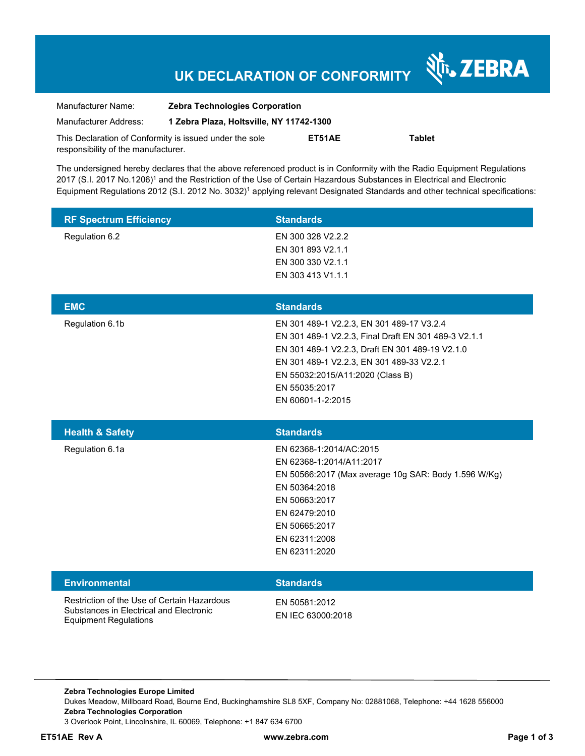# **UK DECLARATION OF CONFORMITY**

Nr. ZEBRA

| Manufacturer Name:                                      | <b>Zebra Technologies Corporation</b>    |        |        |  |
|---------------------------------------------------------|------------------------------------------|--------|--------|--|
| Manufacturer Address:                                   | 1 Zebra Plaza, Holtsville, NY 11742-1300 |        |        |  |
| This Declaration of Conformity is issued under the sole |                                          | ET51AE | Tablet |  |
| responsibility of the manufacturer.                     |                                          |        |        |  |

The undersigned hereby declares that the above referenced product is in Conformity with the Radio Equipment Regulations 2017 (S.I. 2017 No.1206)<sup>1</sup> and the Restriction of the Use of Certain Hazardous Substances in Electrical and Electronic Equipment Regulations 2012 (S.I. 2012 No. 3032)<sup>1</sup> applying relevant Designated Standards and other technical specifications:

| <b>RF Spectrum Efficiency</b>                                                                                          | <b>Standards</b>                                                                                                                                                                                                                                                            |
|------------------------------------------------------------------------------------------------------------------------|-----------------------------------------------------------------------------------------------------------------------------------------------------------------------------------------------------------------------------------------------------------------------------|
| Regulation 6.2                                                                                                         | EN 300 328 V2.2.2<br>EN 301 893 V2.1.1<br>EN 300 330 V2.1.1<br>EN 303 413 V1.1.1                                                                                                                                                                                            |
| <b>EMC</b>                                                                                                             | <b>Standards</b>                                                                                                                                                                                                                                                            |
| Regulation 6.1b                                                                                                        | EN 301 489-1 V2.2.3, EN 301 489-17 V3.2.4<br>EN 301 489-1 V2.2.3, Final Draft EN 301 489-3 V2.1.1<br>EN 301 489-1 V2.2.3, Draft EN 301 489-19 V2.1.0<br>EN 301 489-1 V2.2.3, EN 301 489-33 V2.2.1<br>EN 55032:2015/A11:2020 (Class B)<br>EN 55035:2017<br>EN 60601-1-2:2015 |
| <b>Health &amp; Safety</b>                                                                                             | <b>Standards</b>                                                                                                                                                                                                                                                            |
| Regulation 6.1a                                                                                                        | EN 62368-1:2014/AC:2015<br>EN 62368-1:2014/A11:2017<br>EN 50566:2017 (Max average 10g SAR: Body 1.596 W/Kg)<br>EN 50364:2018<br>EN 50663:2017<br>EN 62479:2010<br>EN 50665:2017<br>EN 62311:2008<br>EN 62311:2020                                                           |
| <b>Environmental</b>                                                                                                   | <b>Standards</b>                                                                                                                                                                                                                                                            |
| Restriction of the Use of Certain Hazardous<br>Substances in Electrical and Electronic<br><b>Equipment Regulations</b> | EN 50581:2012<br>EN IEC 63000:2018                                                                                                                                                                                                                                          |

**Zebra Technologies Europe Limited**  Dukes Meadow, Millboard Road, Bourne End, Buckinghamshire SL8 5XF, Company No: 02881068, Telephone: +44 1628 556000 **Zebra Technologies Corporation**  3 Overlook Point, Lincolnshire, IL 60069, Telephone: +1 847 634 6700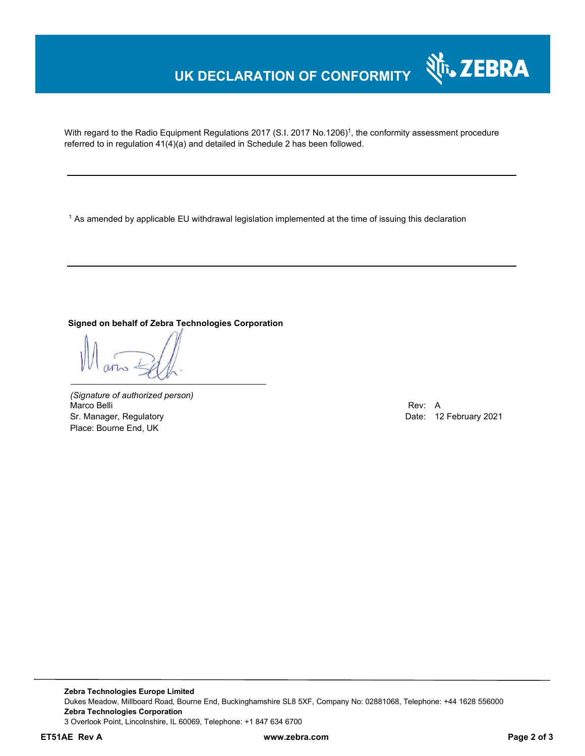## **UK DECLARATION OF CONFORMITY**

With regard to the Radio Equipment Regulations 2017 (S.I. 2017 No.1206)<sup>1</sup>, the conformity assessment procedure referred to in regulation 41(4)(a) and detailed in Schedule 2 has been followed.

 $^{\rm 1}$  As amended by applicable EU withdrawal legislation implemented at the time of issuing this declaration

ֺ

### **Signed on behalf of Zebra Technologies Corporation**

*(Signature of authorized person)* Marco Belli Rev: A Sr. Manager, Regulatory **Date: 12 February 2021** Place: Bourne End, UK

Nr. ZEBRA

**Zebra Technologies Europe Limited**  Dukes Meadow, Millboard Road, Bourne End, Buckinghamshire SL8 5XF, Company No: 02881068, Telephone: +44 1628 556000 **Zebra Technologies Corporation**  3 Overlook Point, Lincolnshire, IL 60069, Telephone: +1 847 634 6700